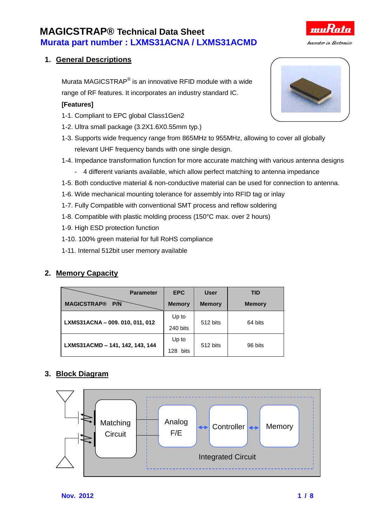### **1. General Descriptions**

Murata MAGICSTRAP<sup>®</sup> is an innovative RFID module with a wide range of RF features. It incorporates an industry standard IC.

#### **[Features]**

- 1-1. Compliant to EPC global Class1Gen2
- 1-2. Ultra small package (3.2X1.6X0.55mm typ.)
- 1-3. Supports wide frequency range from 865MHz to 955MHz, allowing to cover all globally relevant UHF frequency bands with one single design.
- 1-4. Impedance transformation function for more accurate matching with various antenna designs
	- 4 different variants available, which allow perfect matching to antenna impedance
- 1-5. Both conductive material & non-conductive material can be used for connection to antenna.
- 1-6. Wide mechanical mounting tolerance for assembly into RFID tag or inlay
- 1-7. Fully Compatible with conventional SMT process and reflow soldering
- 1-8. Compatible with plastic molding process (150°C max. over 2 hours)
- 1-9. High ESD protection function
- 1-10. 100% green material for full RoHS compliance
- 1-11. Internal 512bit user memory available

### **2. Memory Capacity**

| <b>Parameter</b>                | <b>EPC</b>         | <b>User</b>   | <b>TID</b>    |  |
|---------------------------------|--------------------|---------------|---------------|--|
| <b>MAGICSTRAP®</b><br>P/N       | <b>Memory</b>      | <b>Memory</b> | <b>Memory</b> |  |
|                                 | Up to              |               | 64 bits       |  |
| LXMS31ACNA - 009. 010, 011, 012 | 240 bits           | 512 bits      |               |  |
| LXMS31ACMD - 141, 142, 143, 144 | Up to              | 512 bits      | 96 bits       |  |
|                                 | <b>bits</b><br>128 |               |               |  |

#### **3. Block Diagram**





muh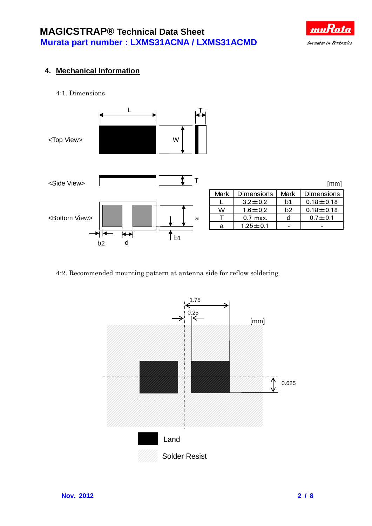

### **4. Mechanical Information**

4-1. Dimensions



#### 4-2. Recommended mounting pattern at antenna side for reflow soldering

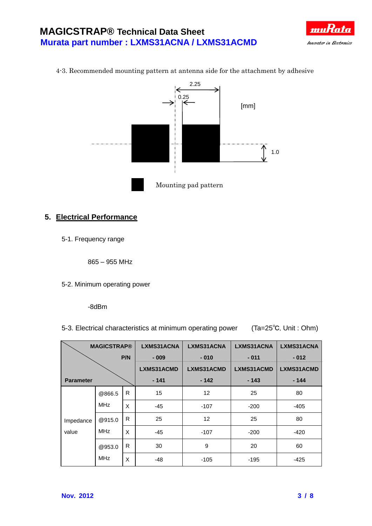



4-3. Recommended mounting pattern at antenna side for the attachment by adhesive

### **5. Electrical Performance**

5-1. Frequency range

865 – 955 MHz

5-2. Minimum operating power

-8dBm

5-3. Electrical characteristics at minimum operating power (Ta=25℃, Unit : Ohm)

| <b>MAGICSTRAP®</b> |                      | <b>LXMS31ACNA</b> | LXMS31ACNA | LXMS31ACNA        | LXMS31ACNA |            |
|--------------------|----------------------|-------------------|------------|-------------------|------------|------------|
| P/N                |                      | $-009$            | $-010$     | $-011$            | $-012$     |            |
|                    |                      |                   | LXMS31ACMD | LXMS31ACMD        | LXMS31ACMD | LXMS31ACMD |
| <b>Parameter</b>   |                      |                   | $-141$     | $-142$            | $-143$     | $-144$     |
| Impedance<br>value | @866.5               | R                 | 15         | 12                | 25         | 80         |
|                    | <b>MHz</b>           | X                 | -45        | $-107$            | $-200$     | -405       |
|                    | @915.0<br><b>MHz</b> | R                 | 25         | $12 \overline{ }$ | 25         | 80         |
|                    |                      | X                 | $-45$      | $-107$            | $-200$     | $-420$     |
|                    | @953.0               | R                 | 30         | 9                 | 20         | 60         |
|                    | <b>MHz</b>           | X                 | -48        | $-105$            | -195       | -425       |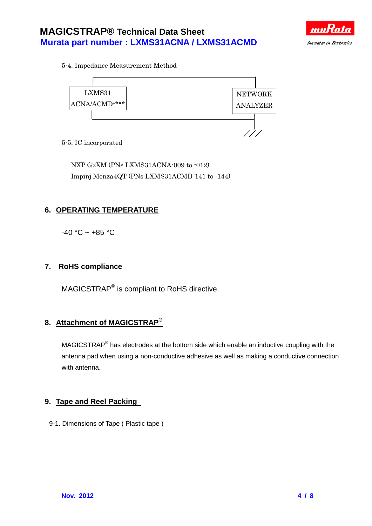

5-4. Impedance Measurement Method



5-5. IC incorporated

NXP G2XM (PNs LXMS31ACNA-009 to -012) Impinj Monza4QT (PNs LXMS31ACMD-141 to -144)

### **6. OPERATING TEMPERATURE**

 $-40 °C \sim +85 °C$ 

#### **7. RoHS compliance**

MAGICSTRAP<sup>®</sup> is compliant to RoHS directive.

### **8. Attachment of MAGICSTRAP®**

MAGICSTRAP<sup>®</sup> has electrodes at the bottom side which enable an inductive coupling with the antenna pad when using a non-conductive adhesive as well as making a conductive connection with antenna.

#### **9. Tape and Reel Packing**

9-1. Dimensions of Tape ( Plastic tape )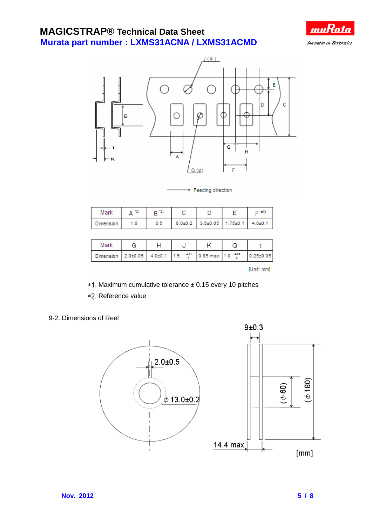



Feeding direction

| Mark             |     |     |                                   | – *1 |
|------------------|-----|-----|-----------------------------------|------|
| <b>Jimension</b> | 1.9 | 3.5 | 8.0±0.2 3.5±0.05 1.75±0.1 4.0±0.1 |      |

| Mark                                                                             |  |  |           |
|----------------------------------------------------------------------------------|--|--|-----------|
| Dimension 2.0±0.05 4.0±0.1 1.5 $^{+0.1}_{-0.00}$ 0.85 max. 1.0 $^{+0.2}_{-0.00}$ |  |  | 0.25±0.05 |

[Unit\_mm]

- Maximum cumulative tolerance ± 0.15 every 10 pitches
- \*2. Reference value

#### 9-2. Dimensions of Reel

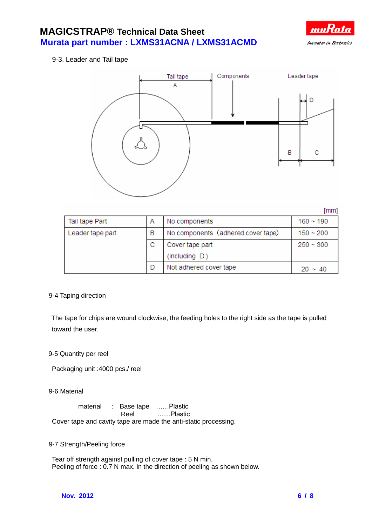

9-3. Leader and Tail tape



 $[mm]$  $160 - 190$ Tail tape Part A No components B No components (adhered cover tape) Leader tape part  $150 - 200$ C Cover tape part  $250 - 300$ (including D) D Not adhered cover tape  $20 \sim 40$ 

9-4 Taping direction

 The tape for chips are wound clockwise, the feeding holes to the right side as the tape is pulled toward the user.

9-5 Quantity per reel

Packaging unit :4000 pcs./ reel

9-6 Material

material : Base tape ......Plastic Reel ……Plastic Cover tape and cavity tape are made the anti-static processing.

9-7 Strength/Peeling force

Tear off strength against pulling of cover tape : 5 N min. Peeling of force : 0.7 N max. in the direction of peeling as shown below.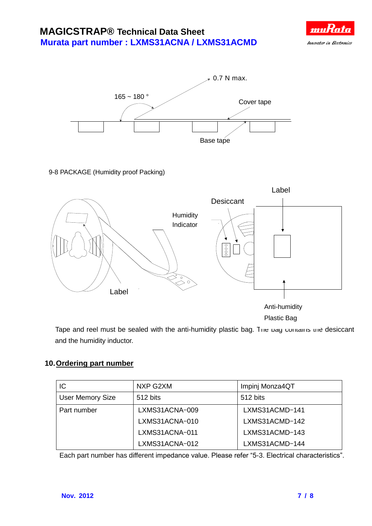



#### 9-8 PACKAGE (Humidity proof Packing)



Tape and reel must be sealed with the anti-humidity plastic bag. The bag contains the desiccant and the humidity inductor.

### **10.Ordering part number**

| IC                      | NXP G2XM       | Impinj Monza4QT |
|-------------------------|----------------|-----------------|
| <b>User Memory Size</b> | 512 bits       | 512 bits        |
| Part number             | LXMS31ACNA-009 | LXMS31ACMD-141  |
|                         | LXMS31ACNA-010 | LXMS31ACMD-142  |
|                         | LXMS31ACNA-011 | LXMS31ACMD-143  |
|                         | LXMS31ACNA-012 | LXMS31ACMD-144  |

Each part number has different impedance value. Please refer "5-3. Electrical characteristics".